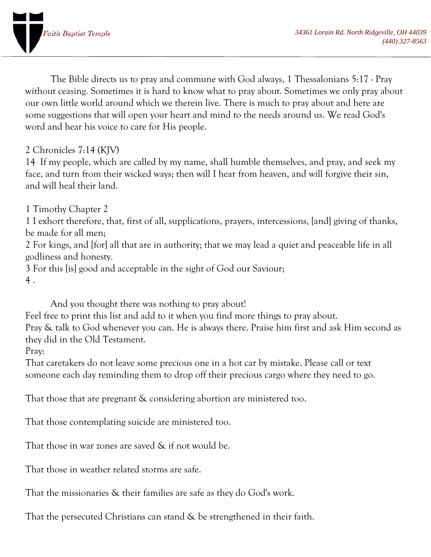

The Bible directs us to pray and commune with God always, 1 [Thessalonians](https://www.kingjamesbibleonline.org/1-Thessalonians-5-17/) 5:17 - Pray without ceasing. Sometimes it is hard to know what to pray about. Sometimes we only pray about our own little world around which we therein live. There is much to pray about and here are some suggestions that will open your heart and mind to the needs around us. We read God's word and hear his voice to care for His people.

## 2 Chronicles 7:14 (KJV)

14 If my people, which are called by my name, shall humble themselves, and pray, and seek my face, and turn from their wicked ways; then will I hear from heaven, and will forgive their sin, and will heal their land.

1 [Timothy](https://www.kingjamesbibleonline.org/1-Timothy-Chapter-2/) Chapter 2

1 I exhort therefore, that, first of all, [supplications,](https://www.kingjamesbibleonline.org/1-Timothy-2-1/) prayers, intercessions, [and] giving of thanks, be [made](https://www.kingjamesbibleonline.org/1-Timothy-2-1/) for all men;

2 For kings, and [for] all that are in [authority;](https://www.kingjamesbibleonline.org/1-Timothy-2-2/) that we may lead a quiet and peaceable life in all [godliness](https://www.kingjamesbibleonline.org/1-Timothy-2-2/) and honesty.

3 For this [is] good and [acceptable](https://www.kingjamesbibleonline.org/1-Timothy-2-3/) in the sight of God our Saviour; 4 [.](https://www.kingjamesbibleonline.org/1-Timothy-2-4/)

And you thought there was nothing to pray about!

Feel free to print this list and add to it when you find more things to pray about.

Pray & talk to God whenever you can. He is always there. Praise him first and ask Him second as they did in the Old Testament.

Pray:

That caretakers do not leave some precious one in a hot car by mistake. Please call or text someone each day reminding them to drop off their precious cargo where they need to go.

That those that are pregnant & considering abortion are ministered too.

That those contemplating suicide are ministered too.

That those in war zones are saved & if not would be.

That those in weather related storms are safe.

That the missionaries & their families are safe as they do God's work.

That the persecuted Christians can stand & be strengthened in their faith.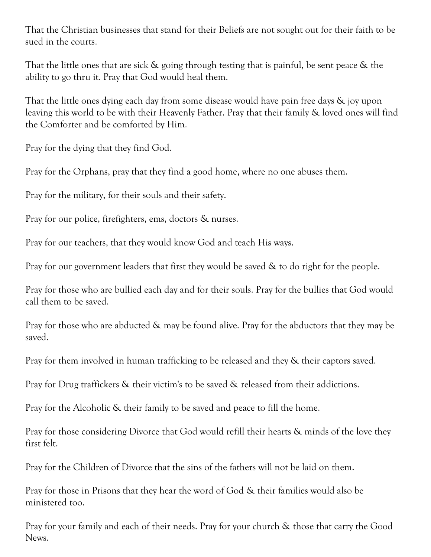That the Christian businesses that stand for their Beliefs are not sought out for their faith to be sued in the courts.

That the little ones that are sick & going through testing that is painful, be sent peace & the ability to go thru it. Pray that God would heal them.

That the little ones dying each day from some disease would have pain free days & joy upon leaving this world to be with their Heavenly Father. Pray that their family & loved ones will find the Comforter and be comforted by Him.

Pray for the dying that they find God.

Pray for the Orphans, pray that they find a good home, where no one abuses them.

Pray for the military, for their souls and their safety.

Pray for our police, firefighters, ems, doctors & nurses.

Pray for our teachers, that they would know God and teach His ways.

Pray for our government leaders that first they would be saved & to do right for the people.

Pray for those who are bullied each day and for their souls. Pray for the bullies that God would call them to be saved.

Pray for those who are abducted & may be found alive. Pray for the abductors that they may be saved.

Pray for them involved in human trafficking to be released and they & their captors saved.

Pray for Drug traffickers & their victim's to be saved & released from their addictions.

Pray for the Alcoholic & their family to be saved and peace to fill the home.

Pray for those considering Divorce that God would refill their hearts & minds of the love they first felt.

Pray for the Children of Divorce that the sins of the fathers will not be laid on them.

Pray for those in Prisons that they hear the word of God & their families would also be ministered too.

Pray for your family and each of their needs. Pray for your church & those that carry the Good News.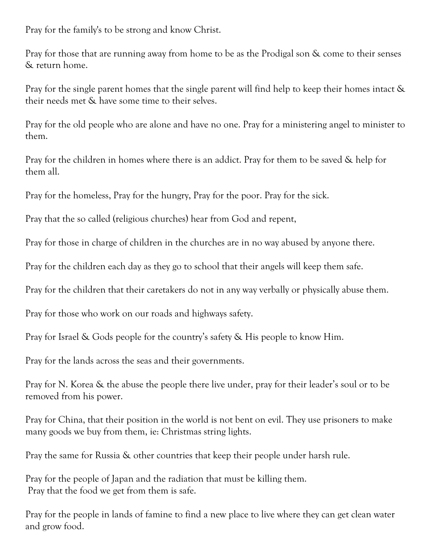Pray for the family's to be strong and know Christ.

Pray for those that are running away from home to be as the Prodigal son & come to their senses & return home.

Pray for the single parent homes that the single parent will find help to keep their homes intact & their needs met & have some time to their selves.

Pray for the old people who are alone and have no one. Pray for a ministering angel to minister to them.

Pray for the children in homes where there is an addict. Pray for them to be saved & help for them all.

Pray for the homeless, Pray for the hungry, Pray for the poor. Pray for the sick.

Pray that the so called (religious churches) hear from God and repent,

Pray for those in charge of children in the churches are in no way abused by anyone there.

Pray for the children each day as they go to school that their angels will keep them safe.

Pray for the children that their caretakers do not in any way verbally or physically abuse them.

Pray for those who work on our roads and highways safety.

Pray for Israel & Gods people for the country's safety & His people to know Him.

Pray for the lands across the seas and their governments.

Pray for N. Korea & the abuse the people there live under, pray for their leader's soul or to be removed from his power.

Pray for China, that their position in the world is not bent on evil. They use prisoners to make many goods we buy from them, ie: Christmas string lights.

Pray the same for Russia & other countries that keep their people under harsh rule.

Pray for the people of Japan and the radiation that must be killing them. Pray that the food we get from them is safe.

Pray for the people in lands of famine to find a new place to live where they can get clean water and grow food.